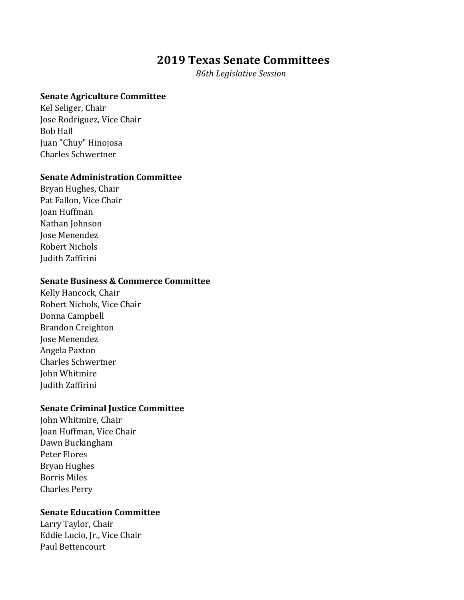# **2019 Texas Senate Committees**

 *86th Legislative Session*

## **Senate Agriculture Committee**

Kel Seliger, Chair Jose Rodriguez, Vice Chair Bob Hall Juan "Chuy" Hinojosa Charles Schwertner

#### **Senate Administration Committee**

Bryan Hughes, Chair Pat Fallon, Vice Chair Joan Huffman Nathan Johnson Jose Menendez Robert Nichols Judith Zaffirini

#### **Senate Business & Commerce Committee**

Kelly Hancock, Chair Robert Nichols, Vice Chair Donna Campbell Brandon Creighton Jose Menendez Angela Paxton Charles Schwertner John Whitmire Judith Zaffirini

## **Senate Criminal Justice Committee**

John Whitmire, Chair Joan Huffman, Vice Chair Dawn Buckingham Peter Flores Bryan Hughes Borris Miles Charles Perry

### **Senate Education Committee**

Larry Taylor, Chair Eddie Lucio, Jr., Vice Chair Paul Bettencourt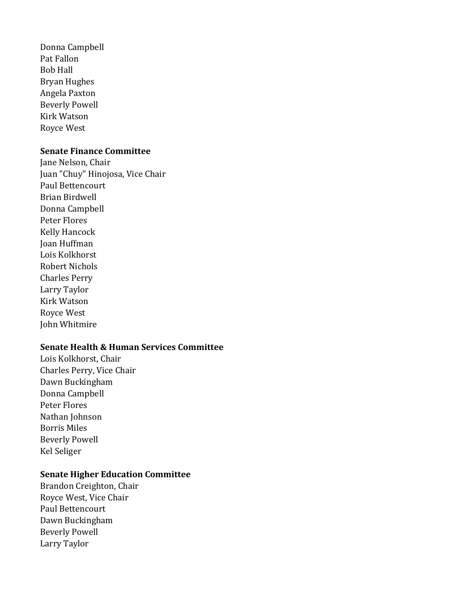Donna Campbell Pat Fallon Bob Hall Bryan Hughes Angela Paxton Beverly Powell Kirk Watson Royce West

#### **Senate Finance Committee**

Jane Nelson, Chair Juan "Chuy" Hinojosa, Vice Chair Paul Bettencourt Brian Birdwell Donna Campbell Peter Flores Kelly Hancock Joan Huffman Lois Kolkhorst Robert Nichols Charles Perry Larry Taylor Kirk Watson Royce West John Whitmire

## **Senate Health & Human Services Committee**

Lois Kolkhorst, Chair Charles Perry, Vice Chair Dawn Buckingham Donna Campbell Peter Flores Nathan Johnson Borris Miles Beverly Powell Kel Seliger

### **Senate Higher Education Committee**

Brandon Creighton, Chair Royce West, Vice Chair Paul Bettencourt Dawn Buckingham Beverly Powell Larry Taylor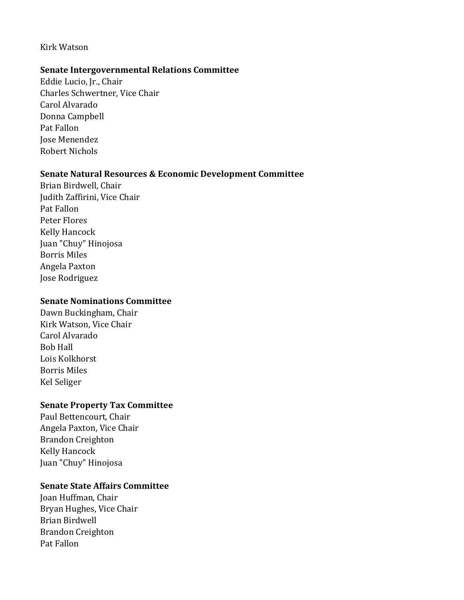## Kirk Watson

#### **Senate Intergovernmental Relations Committee**

Eddie Lucio, Jr., Chair Charles Schwertner, Vice Chair Carol Alvarado Donna Campbell Pat Fallon Jose Menendez Robert Nichols

#### **Senate Natural Resources & Economic Development Committee**

Brian Birdwell, Chair Judith Zaffirini, Vice Chair Pat Fallon Peter Flores Kelly Hancock Juan "Chuy" Hinojosa Borris Miles Angela Paxton Jose Rodriguez

#### **Senate Nominations Committee**

Dawn Buckingham, Chair Kirk Watson, Vice Chair Carol Alvarado Bob Hall Lois Kolkhorst Borris Miles Kel Seliger

#### **Senate Property Tax Committee**

Paul Bettencourt, Chair Angela Paxton, Vice Chair Brandon Creighton Kelly Hancock Juan "Chuy" Hinojosa

## **Senate State Affairs Committee**

Joan Huffman, Chair Bryan Hughes, Vice Chair Brian Birdwell Brandon Creighton Pat Fallon